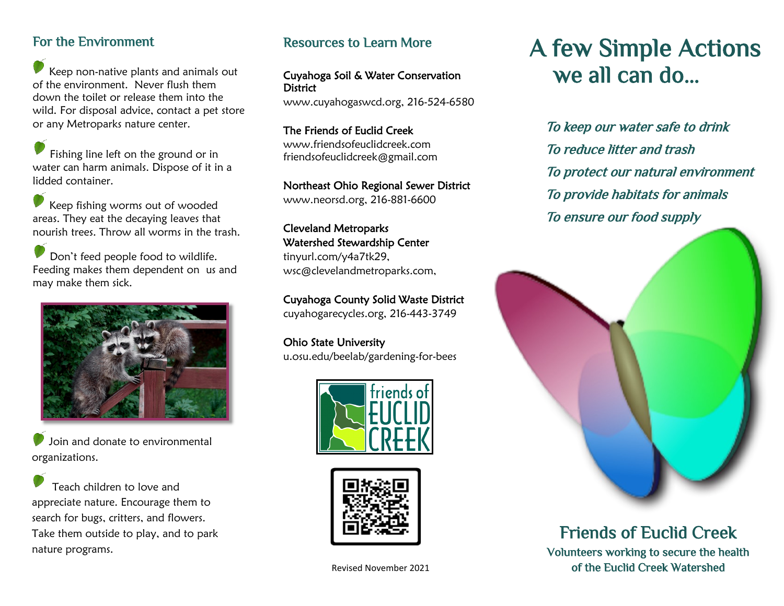# For the Environment

Keep non-native plants and animals out of the environment. Never flush them down the toilet or release them into the wild. For disposal advice, contact a pet store or any Metroparks nature center.

Fishing line left on the ground or in water can harm animals. Dispose of it in a lidded container.

Keep fishing worms out of wooded areas. They eat the decaying leaves that nourish trees. Throw all worms in the trash.

Don't feed people food to wildlife. Feeding makes them dependent on us and may make them sick.



Join and donate to environmental organizations.

Teach children to love and appreciate nature. Encourage them to search for bugs, critters, and flowers. Take them outside to play, and to park nature programs.

## Resources to Learn More

#### Cuyahoga Soil & Water Conservation **District**

www.cuyahogaswcd.org, 216-524-6580

The Friends of Euclid Creek www.friendsofeuclidcreek.com friendsofeuclidcreek@gmail.com

### Northeast Ohio Regional Sewer District

www.neorsd.org, 216-881-6600

#### Cleveland Metroparks Watershed Stewardship Center

tinyurl.com/y4a7tk29, wsc@clevelandmetroparks.com,

Cuyahoga County Solid Waste District cuyahogarecycles.org, 216-443-3749

Ohio State University u.osu.edu/beelab/gardening-for-bees





# A few Simple Actions we all can do…

To keep our water safe to drink To reduce litter and trash To protect our natural environment To provide habitats for animals To ensure our food supply



Friends of Euclid Creek Volunteers working to secure the health Revised November 2021 **build as a strategier of the Euclid Creek Watershed**